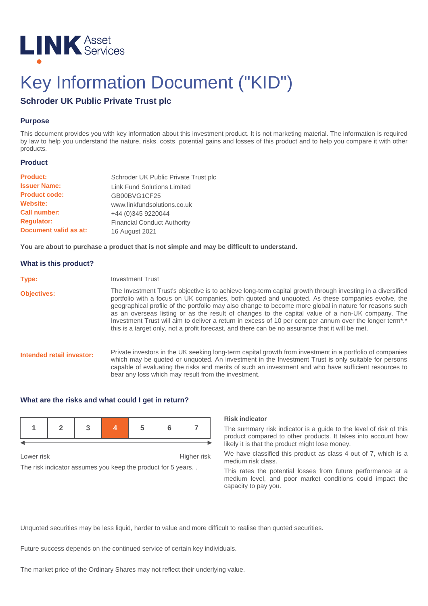

# Key Information Document ("KID")

# **Schroder UK Public Private Trust plc**

# **Purpose**

This document provides you with key information about this investment product. It is not marketing material. The information is required by law to help you understand the nature, risks, costs, potential gains and losses of this product and to help you compare it with other products.

#### **Product**

| <b>Product:</b>       | Schroder UK Public Private Trust plc |
|-----------------------|--------------------------------------|
| <b>Issuer Name:</b>   | <b>Link Fund Solutions Limited</b>   |
| <b>Product code:</b>  | GB00BVG1CF25                         |
| <b>Website:</b>       | www.linkfundsolutions.co.uk          |
| <b>Call number:</b>   | +44 (0) 345 9220044                  |
| <b>Requlator:</b>     | <b>Financial Conduct Authority</b>   |
| Document valid as at: | 16 August 2021                       |

**You are about to purchase a product that is not simple and may be difficult to understand.**

### **What is this product?**

| Type:                     | <b>Investment Trust</b>                                                                                                                                                                                                                                                                                                                                                                                                                                                                                                                                                                                                                                 |
|---------------------------|---------------------------------------------------------------------------------------------------------------------------------------------------------------------------------------------------------------------------------------------------------------------------------------------------------------------------------------------------------------------------------------------------------------------------------------------------------------------------------------------------------------------------------------------------------------------------------------------------------------------------------------------------------|
| <b>Objectives:</b>        | The Investment Trust's objective is to achieve long-term capital growth through investing in a diversified<br>portfolio with a focus on UK companies, both quoted and unquoted. As these companies evolve, the<br>geographical profile of the portfolio may also change to become more global in nature for reasons such<br>as an overseas listing or as the result of changes to the capital value of a non-UK company. The<br>Investment Trust will aim to deliver a return in excess of 10 per cent per annum over the longer term <sup>**</sup><br>this is a target only, not a profit forecast, and there can be no assurance that it will be met. |
| Intended retail investor: | Private investors in the UK seeking long-term capital growth from investment in a portfolio of companies<br>which may be quoted or unquoted. An investment in the Investment Trust is only suitable for persons<br>capable of evaluating the risks and merits of such an investment and who have sufficient resources to<br>bear any loss which may result from the investment.                                                                                                                                                                                                                                                                         |

### **What are the risks and what could I get in return?**

Lower risk **Higher risk** 

The risk indicator assumes you keep the product for 5 years. .

#### **Risk indicator**

The summary risk indicator is a guide to the level of risk of this product compared to other products. It takes into account how likely it is that the product might lose money.

We have classified this product as class 4 out of 7, which is a medium risk class.

This rates the potential losses from future performance at a medium level, and poor market conditions could impact the capacity to pay you.

Unquoted securities may be less liquid, harder to value and more difficult to realise than quoted securities.

Future success depends on the continued service of certain key individuals.

The market price of the Ordinary Shares may not reflect their underlying value.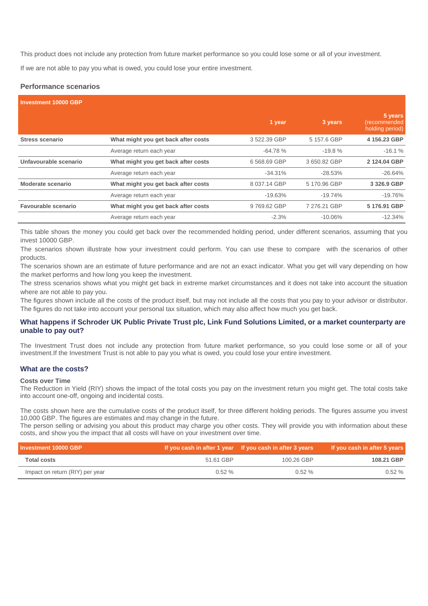This product does not include any protection from future market performance so you could lose some or all of your investment.

If we are not able to pay you what is owed, you could lose your entire investment.

### **Performance scenarios**

| <b>Investment 10000 GBP</b> |                                     |              |              |                                            |
|-----------------------------|-------------------------------------|--------------|--------------|--------------------------------------------|
|                             |                                     | 1 year       | 3 years      | 5 years<br>(recommended<br>holding period) |
| Stress scenario             | What might you get back after costs | 3522.39 GBP  | 5 157.6 GBP  | 4 156.23 GBP                               |
|                             | Average return each year            | $-64.78%$    | $-19.8%$     | $-16.1%$                                   |
| Unfavourable scenario       | What might you get back after costs | 6568.69 GBP  | 3650.82 GBP  | 2 124.04 GBP                               |
|                             | Average return each year            | $-34.31%$    | $-28.53\%$   | $-26.64%$                                  |
| Moderate scenario           | What might you get back after costs | 8 037.14 GBP | 5 170.96 GBP | 3 326.9 GBP                                |
|                             | Average return each year            | $-19.63%$    | $-19.74%$    | $-19.76%$                                  |
| Favourable scenario         | What might you get back after costs | 9769.62 GBP  | 7 276.21 GBP | 5 176.91 GBP                               |
|                             | Average return each year            | $-2.3%$      | $-10.06\%$   | $-12.34\%$                                 |

This table shows the money you could get back over the recommended holding period, under different scenarios, assuming that you invest 10000 GBP.

The scenarios shown illustrate how your investment could perform. You can use these to compare with the scenarios of other products.

The scenarios shown are an estimate of future performance and are not an exact indicator. What you get will vary depending on how the market performs and how long you keep the investment.

The stress scenarios shows what you might get back in extreme market circumstances and it does not take into account the situation where are not able to pay you.

The figures shown include all the costs of the product itself, but may not include all the costs that you pay to your advisor or distributor. The figures do not take into account your personal tax situation, which may also affect how much you get back.

### **What happens if Schroder UK Public Private Trust plc, Link Fund Solutions Limited, or a market counterparty are unable to pay out?**

The Investment Trust does not include any protection from future market performance, so you could lose some or all of your investment.If the Investment Trust is not able to pay you what is owed, you could lose your entire investment.

# **What are the costs?**

#### **Costs over Time**

The Reduction in Yield (RIY) shows the impact of the total costs you pay on the investment return you might get. The total costs take into account one-off, ongoing and incidental costs.

The costs shown here are the cumulative costs of the product itself, for three different holding periods. The figures assume you invest 10,000 GBP. The figures are estimates and may change in the future.

The person selling or advising you about this product may charge you other costs. They will provide you with information about these costs, and show you the impact that all costs will have on your investment over time.

| Investment 10000 GBP            |           | If you cash in after 1 year If you cash in after 3 years | If you cash in after 5 years |
|---------------------------------|-----------|----------------------------------------------------------|------------------------------|
| <b>Total costs</b>              | 51.61 GBP | 100.26 GBP                                               | 108.21 GBP                   |
| Impact on return (RIY) per year | $0.52\%$  | $0.52\%$                                                 | 0.52%                        |